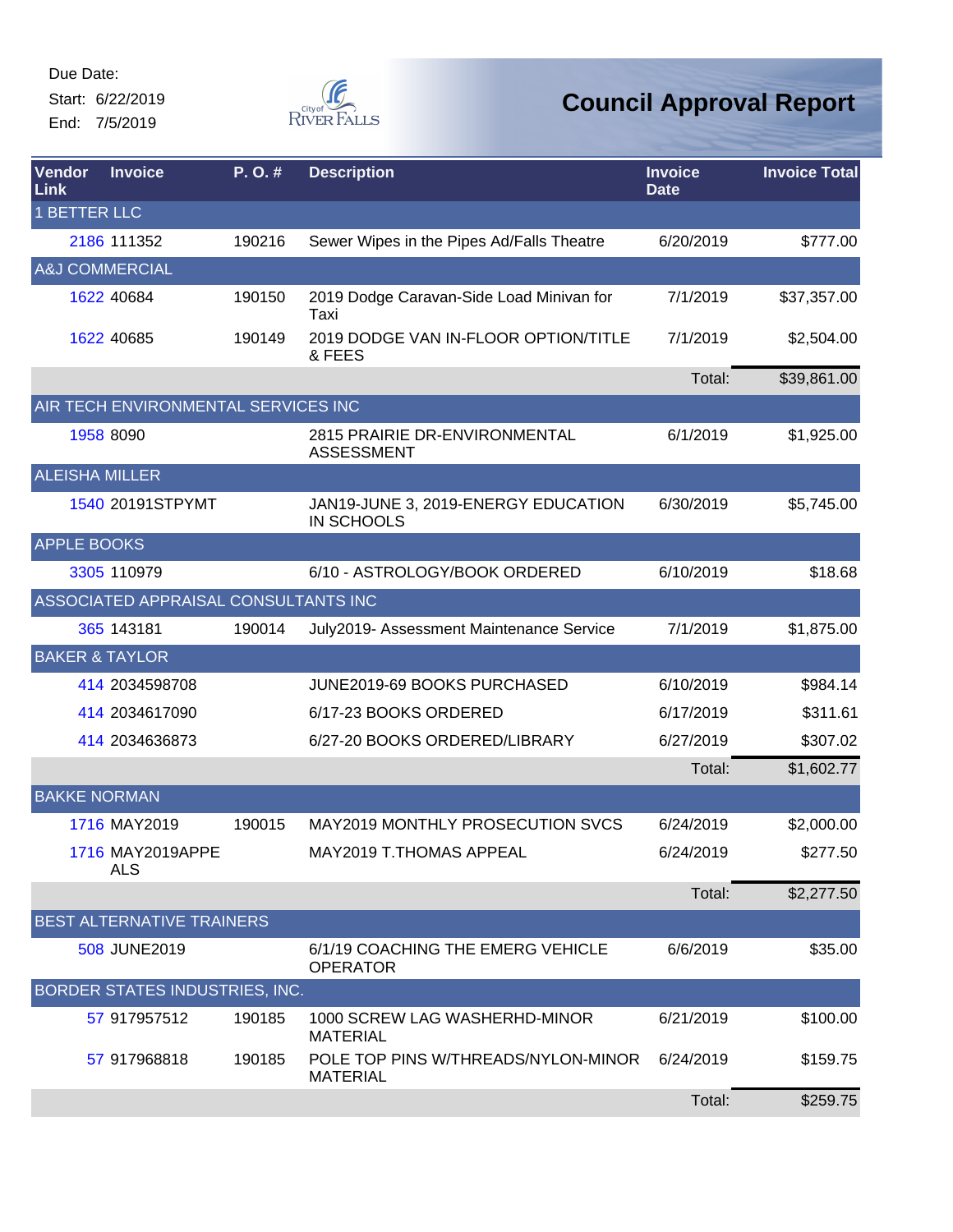Start: 6/22/2019 End: 7/5/2019



| Vendor<br>Link            | <b>Invoice</b>                       | P.O.#  | <b>Description</b>                                     | <b>Invoice</b><br><b>Date</b> | <b>Invoice Total</b> |
|---------------------------|--------------------------------------|--------|--------------------------------------------------------|-------------------------------|----------------------|
| <b>1 BETTER LLC</b>       |                                      |        |                                                        |                               |                      |
|                           | 2186 111352                          | 190216 | Sewer Wipes in the Pipes Ad/Falls Theatre              | 6/20/2019                     | \$777.00             |
|                           | <b>A&amp;J COMMERCIAL</b>            |        |                                                        |                               |                      |
|                           | 1622 40684                           | 190150 | 2019 Dodge Caravan-Side Load Minivan for<br>Taxi       | 7/1/2019                      | \$37,357.00          |
|                           | 1622 40685                           | 190149 | 2019 DODGE VAN IN-FLOOR OPTION/TITLE<br>& FEES         | 7/1/2019                      | \$2,504.00           |
|                           |                                      |        |                                                        | Total:                        | \$39,861.00          |
|                           | AIR TECH ENVIRONMENTAL SERVICES INC  |        |                                                        |                               |                      |
|                           | 1958 8090                            |        | 2815 PRAIRIE DR-ENVIRONMENTAL<br><b>ASSESSMENT</b>     | 6/1/2019                      | \$1,925.00           |
| <b>ALEISHA MILLER</b>     |                                      |        |                                                        |                               |                      |
|                           | 1540 20191STPYMT                     |        | JAN19-JUNE 3, 2019-ENERGY EDUCATION<br>IN SCHOOLS      | 6/30/2019                     | \$5,745.00           |
| <b>APPLE BOOKS</b>        |                                      |        |                                                        |                               |                      |
|                           | 3305 110979                          |        | 6/10 - ASTROLOGY/BOOK ORDERED                          | 6/10/2019                     | \$18.68              |
|                           | ASSOCIATED APPRAISAL CONSULTANTS INC |        |                                                        |                               |                      |
|                           | 365 143181                           | 190014 | July2019- Assessment Maintenance Service               | 7/1/2019                      | \$1,875.00           |
| <b>BAKER &amp; TAYLOR</b> |                                      |        |                                                        |                               |                      |
|                           | 414 2034598708                       |        | JUNE2019-69 BOOKS PURCHASED                            | 6/10/2019                     | \$984.14             |
|                           | 414 2034617090                       |        | 6/17-23 BOOKS ORDERED                                  | 6/17/2019                     | \$311.61             |
|                           | 414 2034636873                       |        | 6/27-20 BOOKS ORDERED/LIBRARY                          | 6/27/2019                     | \$307.02             |
|                           |                                      |        |                                                        | Total:                        | \$1,602.77           |
| <b>BAKKE NORMAN</b>       |                                      |        |                                                        |                               |                      |
|                           | 1716 MAY2019                         | 190015 | MAY2019 MONTHLY PROSECUTION SVCS                       | 6/24/2019                     | \$2,000.00           |
|                           | 1716 MAY2019APPE<br><b>ALS</b>       |        | MAY2019 T.THOMAS APPEAL                                | 6/24/2019                     | \$277.50             |
|                           |                                      |        |                                                        | Total:                        | \$2,277.50           |
|                           | BEST ALTERNATIVE TRAINERS            |        |                                                        |                               |                      |
|                           | 508 JUNE2019                         |        | 6/1/19 COACHING THE EMERG VEHICLE<br><b>OPERATOR</b>   | 6/6/2019                      | \$35.00              |
|                           | BORDER STATES INDUSTRIES, INC.       |        |                                                        |                               |                      |
|                           | 57 917957512                         | 190185 | 1000 SCREW LAG WASHERHD-MINOR<br><b>MATERIAL</b>       | 6/21/2019                     | \$100.00             |
|                           | 57 917968818                         | 190185 | POLE TOP PINS W/THREADS/NYLON-MINOR<br><b>MATERIAL</b> | 6/24/2019                     | \$159.75             |
|                           |                                      |        |                                                        | Total:                        | \$259.75             |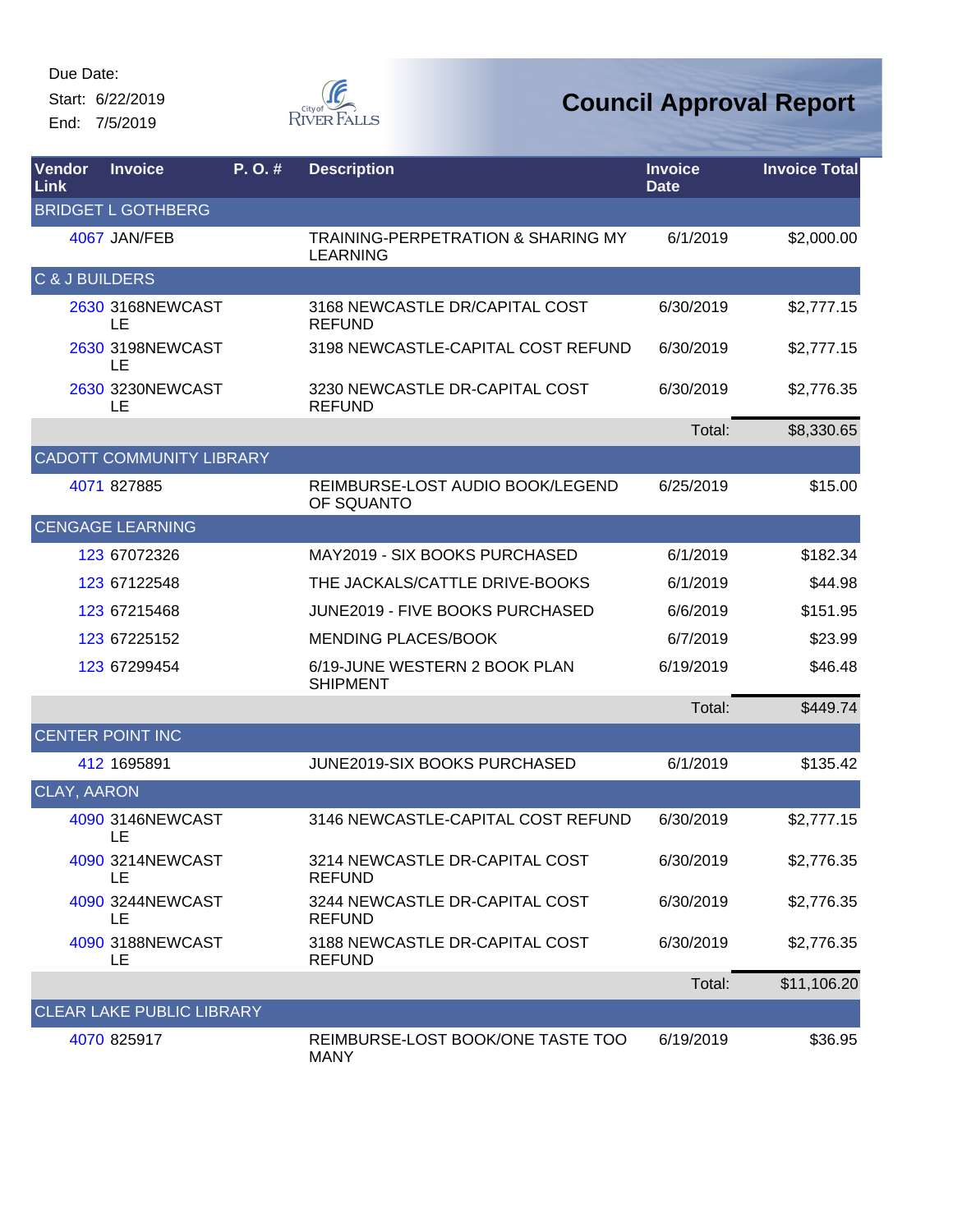Start: 6/22/2019 End: 7/5/2019



| Vendor<br>Link     | <b>Invoice</b>                   | P. O. # | <b>Description</b>                                               | <b>Invoice</b><br><b>Date</b> | <b>Invoice Total</b> |
|--------------------|----------------------------------|---------|------------------------------------------------------------------|-------------------------------|----------------------|
|                    | <b>BRIDGET L GOTHBERG</b>        |         |                                                                  |                               |                      |
|                    | 4067 JAN/FEB                     |         | <b>TRAINING-PERPETRATION &amp; SHARING MY</b><br><b>LEARNING</b> | 6/1/2019                      | \$2,000.00           |
| C & J BUILDERS     |                                  |         |                                                                  |                               |                      |
|                    | 2630 3168NEWCAST<br>LE           |         | 3168 NEWCASTLE DR/CAPITAL COST<br><b>REFUND</b>                  | 6/30/2019                     | \$2,777.15           |
|                    | 2630 3198NEWCAST<br>LE           |         | 3198 NEWCASTLE-CAPITAL COST REFUND                               | 6/30/2019                     | \$2,777.15           |
|                    | 2630 3230NEWCAST<br>LE           |         | 3230 NEWCASTLE DR-CAPITAL COST<br><b>REFUND</b>                  | 6/30/2019                     | \$2,776.35           |
|                    |                                  |         |                                                                  | Total:                        | \$8,330.65           |
|                    | <b>CADOTT COMMUNITY LIBRARY</b>  |         |                                                                  |                               |                      |
|                    | 4071 827885                      |         | REIMBURSE-LOST AUDIO BOOK/LEGEND<br>OF SQUANTO                   | 6/25/2019                     | \$15.00              |
|                    | <b>CENGAGE LEARNING</b>          |         |                                                                  |                               |                      |
|                    | 123 67072326                     |         | MAY2019 - SIX BOOKS PURCHASED                                    | 6/1/2019                      | \$182.34             |
|                    | 123 67122548                     |         | THE JACKALS/CATTLE DRIVE-BOOKS                                   | 6/1/2019                      | \$44.98              |
|                    | 123 67215468                     |         | JUNE2019 - FIVE BOOKS PURCHASED                                  | 6/6/2019                      | \$151.95             |
|                    | 123 67225152                     |         | <b>MENDING PLACES/BOOK</b>                                       | 6/7/2019                      | \$23.99              |
|                    | 123 67299454                     |         | 6/19-JUNE WESTERN 2 BOOK PLAN<br><b>SHIPMENT</b>                 | 6/19/2019                     | \$46.48              |
|                    |                                  |         |                                                                  | Total:                        | \$449.74             |
|                    | <b>CENTER POINT INC</b>          |         |                                                                  |                               |                      |
|                    | 412 1695891                      |         | JUNE2019-SIX BOOKS PURCHASED                                     | 6/1/2019                      | \$135.42             |
| <b>CLAY, AARON</b> |                                  |         |                                                                  |                               |                      |
|                    | 4090 3146NEWCAST<br>LE           |         | 3146 NEWCASTLE-CAPITAL COST REFUND                               | 6/30/2019                     | \$2,777.15           |
|                    | 4090 3214NEWCAST<br>LE.          |         | 3214 NEWCASTLE DR-CAPITAL COST<br><b>REFUND</b>                  | 6/30/2019                     | \$2,776.35           |
|                    | 4090 3244NEWCAST<br>LE           |         | 3244 NEWCASTLE DR-CAPITAL COST<br><b>REFUND</b>                  | 6/30/2019                     | \$2,776.35           |
|                    | 4090 3188NEWCAST<br>LE           |         | 3188 NEWCASTLE DR-CAPITAL COST<br><b>REFUND</b>                  | 6/30/2019                     | \$2,776.35           |
|                    |                                  |         |                                                                  | Total:                        | \$11,106.20          |
|                    | <b>CLEAR LAKE PUBLIC LIBRARY</b> |         |                                                                  |                               |                      |
|                    | 4070 825917                      |         | REIMBURSE-LOST BOOK/ONE TASTE TOO<br><b>MANY</b>                 | 6/19/2019                     | \$36.95              |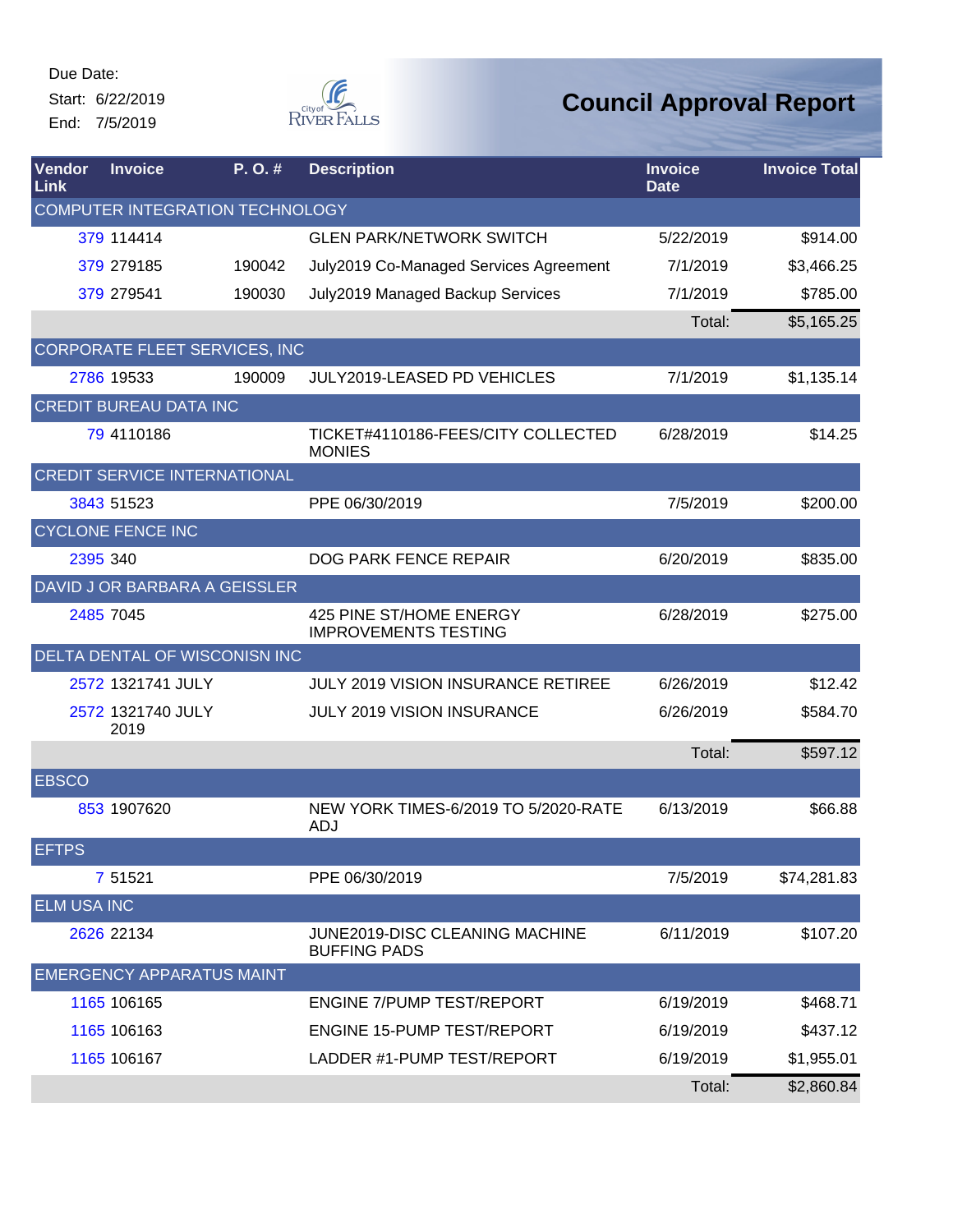Start: 6/22/2019 End: 7/5/2019



| Vendor<br>Link     | <b>Invoice</b><br>P.O.#       |                                     | <b>Description</b>                                     | <b>Invoice</b><br><b>Date</b> | <b>Invoice Total</b> |
|--------------------|-------------------------------|-------------------------------------|--------------------------------------------------------|-------------------------------|----------------------|
|                    |                               | COMPUTER INTEGRATION TECHNOLOGY     |                                                        |                               |                      |
|                    | 379 114414                    |                                     | <b>GLEN PARK/NETWORK SWITCH</b>                        | 5/22/2019                     | \$914.00             |
|                    | 379 279185                    | 190042                              | July2019 Co-Managed Services Agreement                 | 7/1/2019                      | \$3,466.25           |
|                    | 379 279541                    | 190030                              | July2019 Managed Backup Services                       | 7/1/2019                      | \$785.00             |
|                    |                               |                                     |                                                        | Total:                        | \$5,165.25           |
|                    |                               | CORPORATE FLEET SERVICES, INC       |                                                        |                               |                      |
|                    | 2786 19533                    | 190009                              | <b>JULY2019-LEASED PD VEHICLES</b>                     | 7/1/2019                      | \$1,135.14           |
|                    | <b>CREDIT BUREAU DATA INC</b> |                                     |                                                        |                               |                      |
|                    | 79 4110186                    |                                     | TICKET#4110186-FEES/CITY COLLECTED<br><b>MONIES</b>    | 6/28/2019                     | \$14.25              |
|                    |                               | <b>CREDIT SERVICE INTERNATIONAL</b> |                                                        |                               |                      |
|                    | 3843 51523                    |                                     | PPE 06/30/2019                                         | 7/5/2019                      | \$200.00             |
|                    | <b>CYCLONE FENCE INC</b>      |                                     |                                                        |                               |                      |
|                    | 2395 340                      |                                     | DOG PARK FENCE REPAIR                                  | 6/20/2019                     | \$835.00             |
|                    |                               | DAVID J OR BARBARA A GEISSLER       |                                                        |                               |                      |
|                    | 2485 7045                     |                                     | 425 PINE ST/HOME ENERGY<br><b>IMPROVEMENTS TESTING</b> | 6/28/2019                     | \$275.00             |
|                    |                               | DELTA DENTAL OF WISCONISN INC       |                                                        |                               |                      |
|                    | 2572 1321741 JULY             |                                     | <b>JULY 2019 VISION INSURANCE RETIREE</b>              | 6/26/2019                     | \$12.42              |
|                    | 2572 1321740 JULY<br>2019     |                                     | <b>JULY 2019 VISION INSURANCE</b>                      | 6/26/2019                     | \$584.70             |
|                    |                               |                                     |                                                        | Total:                        | \$597.12             |
| <b>EBSCO</b>       |                               |                                     |                                                        |                               |                      |
|                    | 853 1907620                   |                                     | NEW YORK TIMES-6/2019 TO 5/2020-RATE<br>ADJ            | 6/13/2019                     | \$66.88              |
| <b>EFTPS</b>       |                               |                                     |                                                        |                               |                      |
|                    | 7 51521                       |                                     | PPE 06/30/2019                                         | 7/5/2019                      | \$74,281.83          |
| <b>ELM USA INC</b> |                               |                                     |                                                        |                               |                      |
|                    | 2626 22134                    |                                     | JUNE2019-DISC CLEANING MACHINE<br><b>BUFFING PADS</b>  | 6/11/2019                     | \$107.20             |
|                    |                               | <b>EMERGENCY APPARATUS MAINT</b>    |                                                        |                               |                      |
|                    | 1165 106165                   |                                     | ENGINE 7/PUMP TEST/REPORT                              | 6/19/2019                     | \$468.71             |
|                    | 1165 106163                   |                                     | <b>ENGINE 15-PUMP TEST/REPORT</b>                      | 6/19/2019                     | \$437.12             |
|                    | 1165 106167                   |                                     | LADDER #1-PUMP TEST/REPORT                             | 6/19/2019                     | \$1,955.01           |
|                    |                               |                                     |                                                        | Total:                        | \$2,860.84           |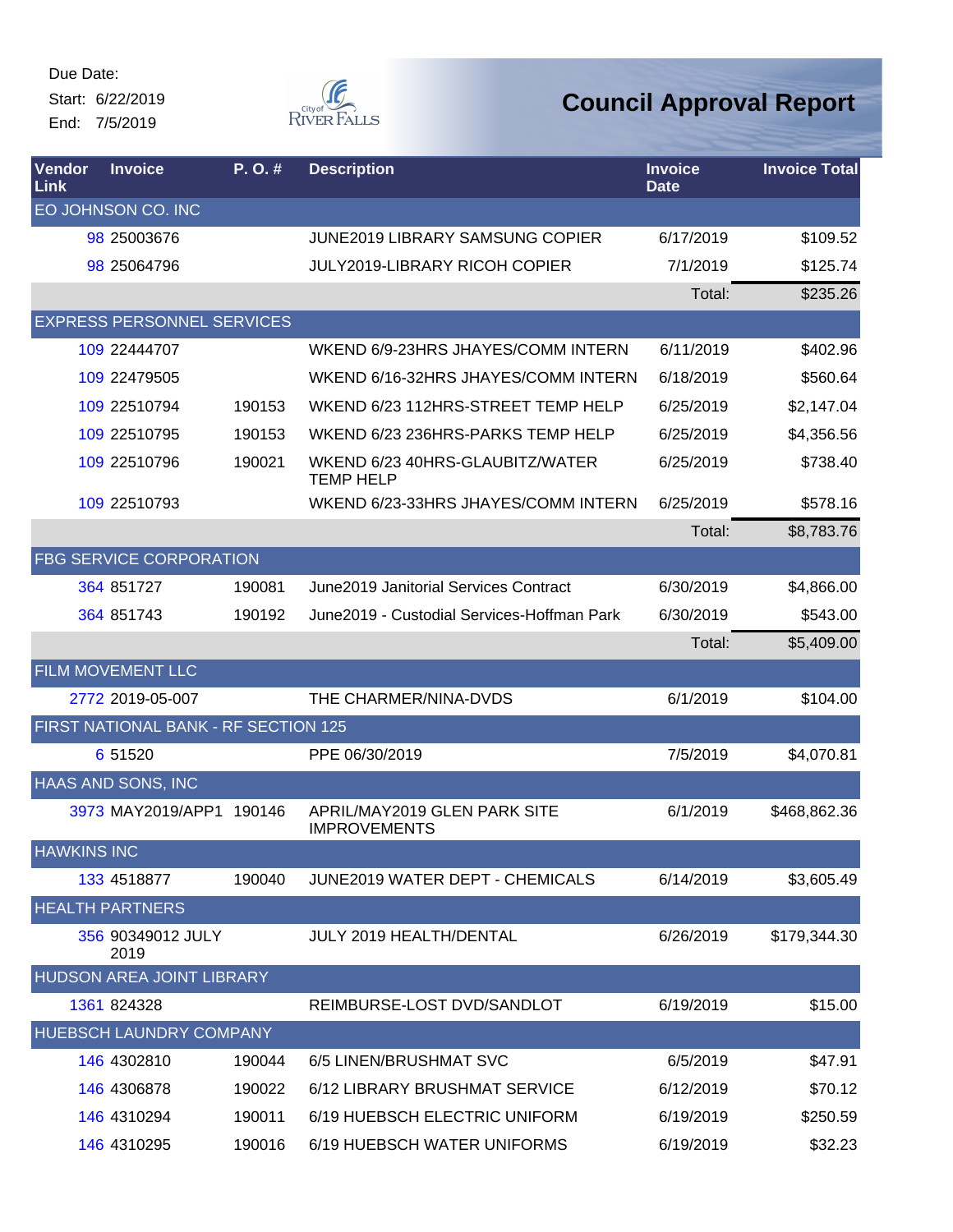Due Date: Start: 6/22/2019

End: 7/5/2019



| Vendor<br>Link     | <b>Invoice</b>                       | P.O.#  | <b>Description</b>                                  | <b>Invoice</b><br><b>Date</b> | <b>Invoice Total</b> |
|--------------------|--------------------------------------|--------|-----------------------------------------------------|-------------------------------|----------------------|
|                    | EO JOHNSON CO. INC                   |        |                                                     |                               |                      |
|                    | 98 25003676                          |        | <b>JUNE2019 LIBRARY SAMSUNG COPIER</b>              | 6/17/2019                     | \$109.52             |
|                    | 98 250 64796                         |        | <b>JULY2019-LIBRARY RICOH COPIER</b>                | 7/1/2019                      | \$125.74             |
|                    |                                      |        |                                                     | Total:                        | \$235.26             |
|                    | <b>EXPRESS PERSONNEL SERVICES</b>    |        |                                                     |                               |                      |
|                    | 109 22444707                         |        | WKEND 6/9-23HRS JHAYES/COMM INTERN                  | 6/11/2019                     | \$402.96             |
|                    | 109 22479505                         |        | WKEND 6/16-32HRS JHAYES/COMM INTERN                 | 6/18/2019                     | \$560.64             |
|                    | 109 22510794                         | 190153 | WKEND 6/23 112HRS-STREET TEMP HELP                  | 6/25/2019                     | \$2,147.04           |
|                    | 109 22510795                         | 190153 | WKEND 6/23 236HRS-PARKS TEMP HELP                   | 6/25/2019                     | \$4,356.56           |
|                    | 109 22510796                         | 190021 | WKEND 6/23 40HRS-GLAUBITZ/WATER<br><b>TEMP HELP</b> | 6/25/2019                     | \$738.40             |
|                    | 109 22510793                         |        | WKEND 6/23-33HRS JHAYES/COMM INTERN                 | 6/25/2019                     | \$578.16             |
|                    |                                      |        |                                                     | Total:                        | \$8,783.76           |
|                    | <b>FBG SERVICE CORPORATION</b>       |        |                                                     |                               |                      |
|                    | 364 851727                           | 190081 | June 2019 Janitorial Services Contract              | 6/30/2019                     | \$4,866.00           |
|                    | 364 851743                           | 190192 | June2019 - Custodial Services-Hoffman Park          | 6/30/2019                     | \$543.00             |
|                    |                                      |        |                                                     | Total:                        | \$5,409.00           |
|                    | <b>FILM MOVEMENT LLC</b>             |        |                                                     |                               |                      |
|                    | 2772 2019-05-007                     |        | THE CHARMER/NINA-DVDS                               | 6/1/2019                      | \$104.00             |
|                    | FIRST NATIONAL BANK - RF SECTION 125 |        |                                                     |                               |                      |
|                    | 6 51520                              |        | PPE 06/30/2019                                      | 7/5/2019                      | \$4,070.81           |
|                    | <b>HAAS AND SONS, INC</b>            |        |                                                     |                               |                      |
|                    | 3973 MAY2019/APP1 190146             |        | APRIL/MAY2019 GLEN PARK SITE<br><b>IMPROVEMENTS</b> | 6/1/2019                      | \$468,862.36         |
| <b>HAWKINS INC</b> |                                      |        |                                                     |                               |                      |
|                    | 133 4518877                          | 190040 | JUNE2019 WATER DEPT - CHEMICALS                     | 6/14/2019                     | \$3,605.49           |
|                    | <b>HEALTH PARTNERS</b>               |        |                                                     |                               |                      |
|                    | 356 90349012 JULY<br>2019            |        | <b>JULY 2019 HEALTH/DENTAL</b>                      | 6/26/2019                     | \$179,344.30         |
|                    | HUDSON AREA JOINT LIBRARY            |        |                                                     |                               |                      |
|                    | 1361 824328                          |        | REIMBURSE-LOST DVD/SANDLOT                          | 6/19/2019                     | \$15.00              |
|                    | <b>HUEBSCH LAUNDRY COMPANY</b>       |        |                                                     |                               |                      |
|                    | 146 4302810                          | 190044 | 6/5 LINEN/BRUSHMAT SVC                              | 6/5/2019                      | \$47.91              |
|                    | 146 4306878                          | 190022 | 6/12 LIBRARY BRUSHMAT SERVICE                       | 6/12/2019                     | \$70.12              |
|                    | 146 4310294                          | 190011 | 6/19 HUEBSCH ELECTRIC UNIFORM                       | 6/19/2019                     | \$250.59             |
|                    | 146 4310295                          | 190016 | 6/19 HUEBSCH WATER UNIFORMS                         | 6/19/2019                     | \$32.23              |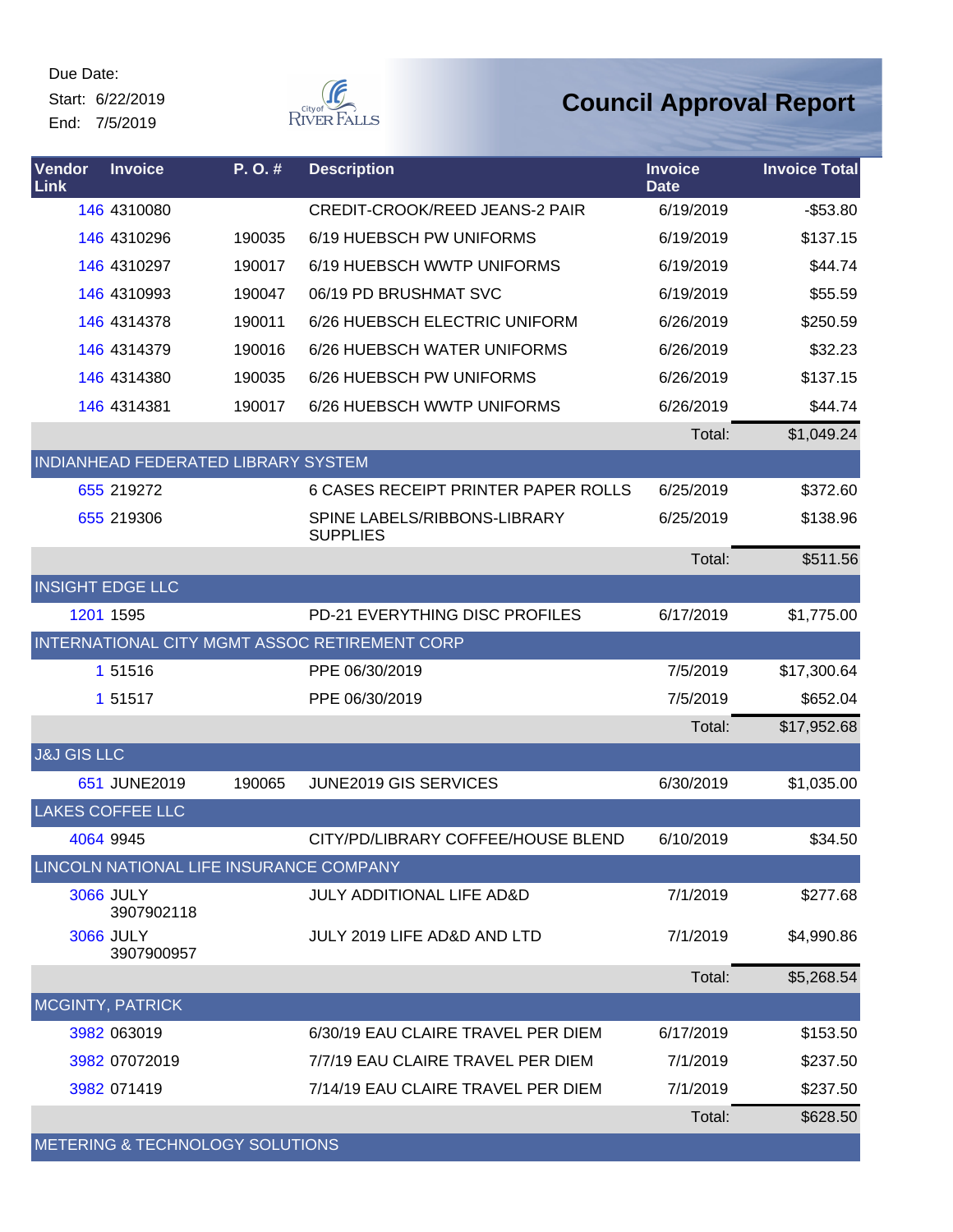Start: 6/22/2019 End: 7/5/2019



| Vendor<br>Link         | <b>Invoice</b>                          | P.O.#  | <b>Description</b>                              | <b>Invoice</b><br><b>Date</b> | <b>Invoice Total</b> |
|------------------------|-----------------------------------------|--------|-------------------------------------------------|-------------------------------|----------------------|
|                        | 146 4310080                             |        | <b>CREDIT-CROOK/REED JEANS-2 PAIR</b>           | 6/19/2019                     | $-$53.80$            |
|                        | 146 4310296                             | 190035 | 6/19 HUEBSCH PW UNIFORMS                        | 6/19/2019                     | \$137.15             |
|                        | 146 4310297                             | 190017 | 6/19 HUEBSCH WWTP UNIFORMS                      | 6/19/2019                     | \$44.74              |
|                        | 146 4310993                             | 190047 | 06/19 PD BRUSHMAT SVC                           | 6/19/2019                     | \$55.59              |
|                        | 146 4314378                             | 190011 | 6/26 HUEBSCH ELECTRIC UNIFORM                   | 6/26/2019                     | \$250.59             |
|                        | 146 4314379                             | 190016 | 6/26 HUEBSCH WATER UNIFORMS                     | 6/26/2019                     | \$32.23              |
|                        | 146 4314380                             | 190035 | 6/26 HUEBSCH PW UNIFORMS                        | 6/26/2019                     | \$137.15             |
|                        | 146 4314381                             | 190017 | 6/26 HUEBSCH WWTP UNIFORMS                      | 6/26/2019                     | \$44.74              |
|                        |                                         |        |                                                 | Total:                        | \$1,049.24           |
|                        | INDIANHEAD FEDERATED LIBRARY SYSTEM     |        |                                                 |                               |                      |
|                        | 655 219272                              |        | <b>6 CASES RECEIPT PRINTER PAPER ROLLS</b>      | 6/25/2019                     | \$372.60             |
|                        | 655 219306                              |        | SPINE LABELS/RIBBONS-LIBRARY<br><b>SUPPLIES</b> | 6/25/2019                     | \$138.96             |
|                        |                                         |        |                                                 | Total:                        | \$511.56             |
|                        | <b>INSIGHT EDGE LLC</b>                 |        |                                                 |                               |                      |
|                        | 1201 1595                               |        | PD-21 EVERYTHING DISC PROFILES                  | 6/17/2019                     | \$1,775.00           |
|                        |                                         |        | INTERNATIONAL CITY MGMT ASSOC RETIREMENT CORP   |                               |                      |
|                        | 1 51516                                 |        | PPE 06/30/2019                                  | 7/5/2019                      | \$17,300.64          |
|                        | 1 51517                                 |        | PPE 06/30/2019                                  | 7/5/2019                      | \$652.04             |
|                        |                                         |        |                                                 | Total:                        | \$17,952.68          |
| <b>J&amp;J GIS LLC</b> |                                         |        |                                                 |                               |                      |
|                        | 651 JUNE2019                            | 190065 | JUNE2019 GIS SERVICES                           | 6/30/2019                     | \$1,035.00           |
|                        | <b>LAKES COFFEE LLC</b>                 |        |                                                 |                               |                      |
|                        | 4064 9945                               |        | CITY/PD/LIBRARY COFFEE/HOUSE BLEND              | 6/10/2019                     | \$34.50              |
|                        | LINCOLN NATIONAL LIFE INSURANCE COMPANY |        |                                                 |                               |                      |
|                        | <b>3066 JULY</b><br>3907902118          |        | <b>JULY ADDITIONAL LIFE AD&amp;D</b>            | 7/1/2019                      | \$277.68             |
|                        | <b>3066 JULY</b><br>3907900957          |        | JULY 2019 LIFE AD&D AND LTD                     | 7/1/2019                      | \$4,990.86           |
|                        |                                         |        |                                                 | Total:                        | \$5,268.54           |
|                        | <b>MCGINTY, PATRICK</b>                 |        |                                                 |                               |                      |
|                        | 3982 063019                             |        | 6/30/19 EAU CLAIRE TRAVEL PER DIEM              | 6/17/2019                     | \$153.50             |
|                        | 3982 07072019                           |        | 7/7/19 EAU CLAIRE TRAVEL PER DIEM               | 7/1/2019                      | \$237.50             |
|                        | 3982 071419                             |        | 7/14/19 EAU CLAIRE TRAVEL PER DIEM              | 7/1/2019                      | \$237.50             |
|                        |                                         |        |                                                 | Total:                        | \$628.50             |
|                        | METERING & TECHNOLOGY SOLUTIONS         |        |                                                 |                               |                      |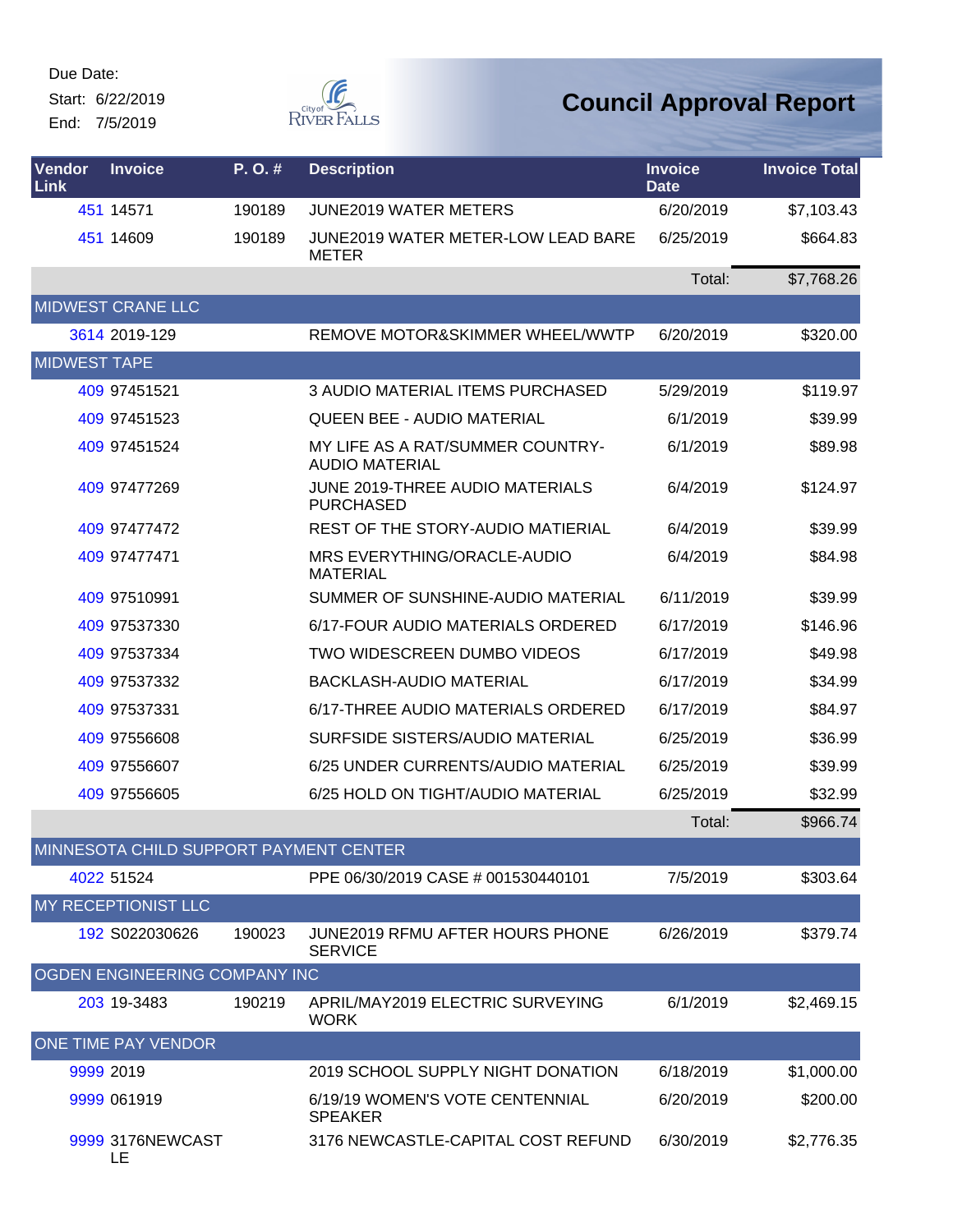Start: 6/22/2019 End: 7/5/2019



| Vendor<br>Link      | <b>Invoice</b>                         | P.O.#  | <b>Description</b>                                        | <b>Invoice</b><br><b>Date</b> | <b>Invoice Total</b> |
|---------------------|----------------------------------------|--------|-----------------------------------------------------------|-------------------------------|----------------------|
|                     | 451 14571                              | 190189 | <b>JUNE2019 WATER METERS</b>                              | 6/20/2019                     | \$7,103.43           |
|                     | 451 14609                              | 190189 | JUNE2019 WATER METER-LOW LEAD BARE<br><b>METER</b>        | 6/25/2019                     | \$664.83             |
|                     |                                        |        |                                                           | Total:                        | \$7,768.26           |
|                     | <b>MIDWEST CRANE LLC</b>               |        |                                                           |                               |                      |
|                     | 3614 2019-129                          |        | REMOVE MOTOR&SKIMMER WHEEL/WWTP                           | 6/20/2019                     | \$320.00             |
| <b>MIDWEST TAPE</b> |                                        |        |                                                           |                               |                      |
|                     | 409 97451521                           |        | 3 AUDIO MATERIAL ITEMS PURCHASED                          | 5/29/2019                     | \$119.97             |
|                     | 409 97451523                           |        | <b>QUEEN BEE - AUDIO MATERIAL</b>                         | 6/1/2019                      | \$39.99              |
|                     | 409 97451524                           |        | MY LIFE AS A RAT/SUMMER COUNTRY-<br><b>AUDIO MATERIAL</b> | 6/1/2019                      | \$89.98              |
|                     | 409 97477269                           |        | JUNE 2019-THREE AUDIO MATERIALS<br><b>PURCHASED</b>       | 6/4/2019                      | \$124.97             |
|                     | 409 97477472                           |        | REST OF THE STORY-AUDIO MATIERIAL                         | 6/4/2019                      | \$39.99              |
|                     | 409 97477471                           |        | MRS EVERYTHING/ORACLE-AUDIO<br><b>MATERIAL</b>            | 6/4/2019                      | \$84.98              |
|                     | 409 97510991                           |        | SUMMER OF SUNSHINE-AUDIO MATERIAL                         | 6/11/2019                     | \$39.99              |
|                     | 409 97537330                           |        | 6/17-FOUR AUDIO MATERIALS ORDERED                         | 6/17/2019                     | \$146.96             |
|                     | 409 97537334                           |        | TWO WIDESCREEN DUMBO VIDEOS                               | 6/17/2019                     | \$49.98              |
|                     | 409 97537332                           |        | <b>BACKLASH-AUDIO MATERIAL</b>                            | 6/17/2019                     | \$34.99              |
|                     | 409 97537331                           |        | 6/17-THREE AUDIO MATERIALS ORDERED                        | 6/17/2019                     | \$84.97              |
|                     | 409 97556608                           |        | SURFSIDE SISTERS/AUDIO MATERIAL                           | 6/25/2019                     | \$36.99              |
|                     | 409 97556607                           |        | 6/25 UNDER CURRENTS/AUDIO MATERIAL                        | 6/25/2019                     | \$39.99              |
|                     | 409 97556605                           |        | 6/25 HOLD ON TIGHT/AUDIO MATERIAL                         | 6/25/2019                     | \$32.99              |
|                     |                                        |        |                                                           | Total:                        | \$966.74             |
|                     | MINNESOTA CHILD SUPPORT PAYMENT CENTER |        |                                                           |                               |                      |
|                     | 4022 51524                             |        | PPE 06/30/2019 CASE # 001530440101                        | 7/5/2019                      | \$303.64             |
|                     | MY RECEPTIONIST LLC                    |        |                                                           |                               |                      |
|                     | 192 S022030626                         | 190023 | JUNE2019 RFMU AFTER HOURS PHONE<br><b>SERVICE</b>         | 6/26/2019                     | \$379.74             |
|                     | OGDEN ENGINEERING COMPANY INC          |        |                                                           |                               |                      |
|                     | 203 19-3483                            | 190219 | APRIL/MAY2019 ELECTRIC SURVEYING<br><b>WORK</b>           | 6/1/2019                      | \$2,469.15           |
|                     | ONE TIME PAY VENDOR                    |        |                                                           |                               |                      |
|                     | 9999 2019                              |        | 2019 SCHOOL SUPPLY NIGHT DONATION                         | 6/18/2019                     | \$1,000.00           |
|                     | 9999 061919                            |        | 6/19/19 WOMEN'S VOTE CENTENNIAL<br><b>SPEAKER</b>         | 6/20/2019                     | \$200.00             |
|                     | 9999 3176NEWCAST<br>LE                 |        | 3176 NEWCASTLE-CAPITAL COST REFUND                        | 6/30/2019                     | \$2,776.35           |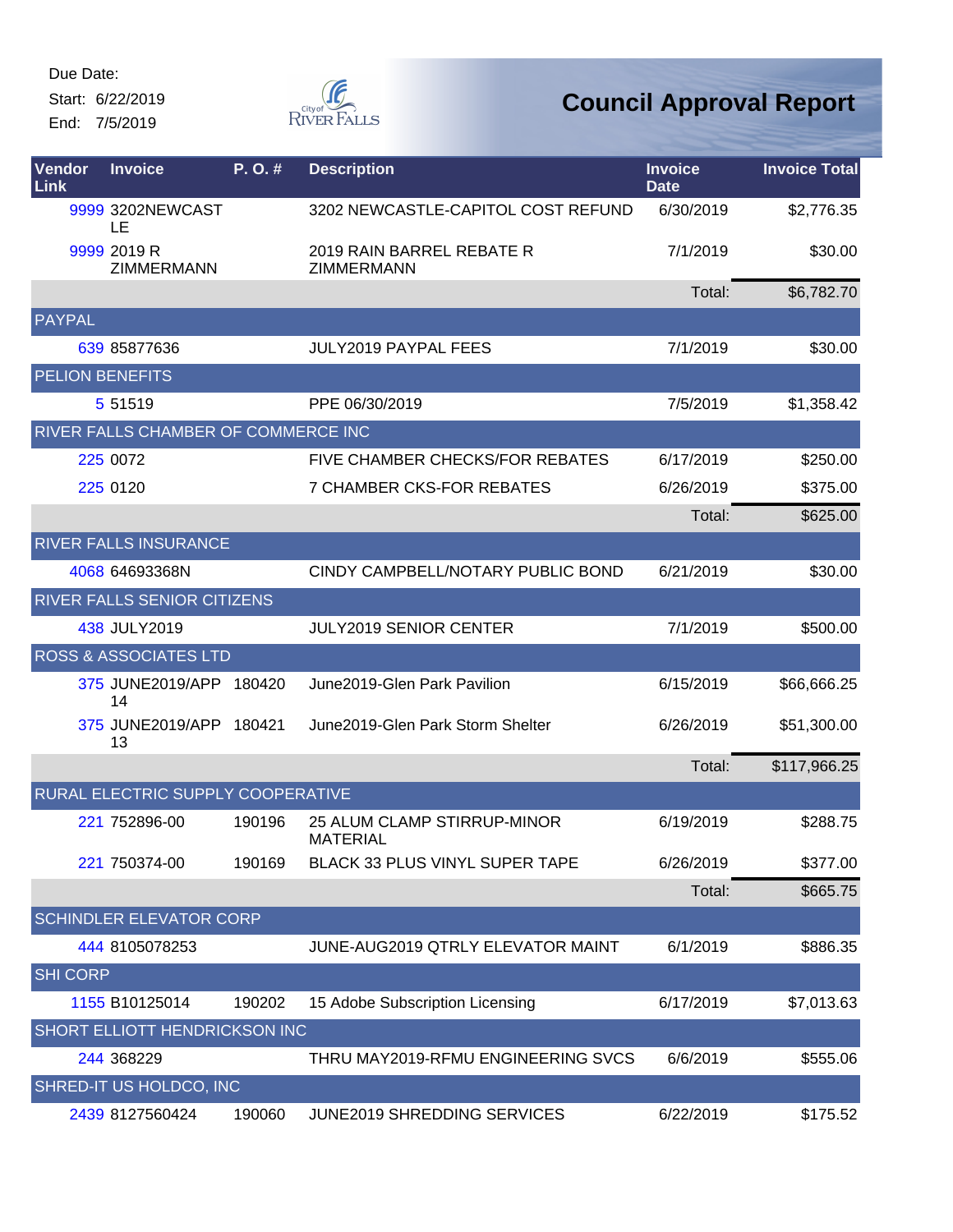Start: 6/22/2019 End: 7/5/2019



| Vendor<br>Link         | <b>Invoice</b>                      | P. O.# | <b>Description</b>                             | <b>Invoice</b><br><b>Date</b> | <b>Invoice Total</b> |
|------------------------|-------------------------------------|--------|------------------------------------------------|-------------------------------|----------------------|
|                        | 9999 3202NEWCAST<br>LE              |        | 3202 NEWCASTLE-CAPITOL COST REFUND             | 6/30/2019                     | \$2,776.35           |
|                        | 9999 2019 R<br><b>ZIMMERMANN</b>    |        | 2019 RAIN BARREL REBATE R<br>ZIMMERMANN        | 7/1/2019                      | \$30.00              |
|                        |                                     |        |                                                | Total:                        | \$6,782.70           |
| <b>PAYPAL</b>          |                                     |        |                                                |                               |                      |
|                        | 639 85877636                        |        | JULY2019 PAYPAL FEES                           | 7/1/2019                      | \$30.00              |
| <b>PELION BENEFITS</b> |                                     |        |                                                |                               |                      |
|                        | 5 51519                             |        | PPE 06/30/2019                                 | 7/5/2019                      | \$1,358.42           |
|                        | RIVER FALLS CHAMBER OF COMMERCE INC |        |                                                |                               |                      |
|                        | 225 0072                            |        | FIVE CHAMBER CHECKS/FOR REBATES                | 6/17/2019                     | \$250.00             |
|                        | 225 0120                            |        | <b>7 CHAMBER CKS-FOR REBATES</b>               | 6/26/2019                     | \$375.00             |
|                        |                                     |        |                                                | Total:                        | \$625.00             |
|                        | <b>RIVER FALLS INSURANCE</b>        |        |                                                |                               |                      |
|                        | 4068 64693368N                      |        | CINDY CAMPBELL/NOTARY PUBLIC BOND              | 6/21/2019                     | \$30.00              |
|                        | RIVER FALLS SENIOR CITIZENS         |        |                                                |                               |                      |
|                        | 438 JULY2019                        |        | <b>JULY2019 SENIOR CENTER</b>                  | 7/1/2019                      | \$500.00             |
|                        | <b>ROSS &amp; ASSOCIATES LTD</b>    |        |                                                |                               |                      |
|                        | 375 JUNE2019/APP 180420<br>14       |        | June 2019-Glen Park Pavilion                   | 6/15/2019                     | \$66,666.25          |
|                        | 375 JUNE2019/APP 180421<br>13       |        | June2019-Glen Park Storm Shelter               | 6/26/2019                     | \$51,300.00          |
|                        |                                     |        |                                                | Total:                        | \$117,966.25         |
|                        | RURAL ELECTRIC SUPPLY COOPERATIVE   |        |                                                |                               |                      |
|                        | 221 752896-00                       | 190196 | 25 ALUM CLAMP STIRRUP-MINOR<br><b>MATERIAL</b> | 6/19/2019                     | \$288.75             |
|                        | 221 750374-00                       | 190169 | BLACK 33 PLUS VINYL SUPER TAPE                 | 6/26/2019                     | \$377.00             |
|                        |                                     |        |                                                | Total:                        | \$665.75             |
|                        | <b>SCHINDLER ELEVATOR CORP</b>      |        |                                                |                               |                      |
|                        | 444 8105078253                      |        | JUNE-AUG2019 QTRLY ELEVATOR MAINT              | 6/1/2019                      | \$886.35             |
| <b>SHI CORP</b>        |                                     |        |                                                |                               |                      |
|                        | 1155 B10125014                      | 190202 | 15 Adobe Subscription Licensing                | 6/17/2019                     | \$7,013.63           |
|                        | SHORT ELLIOTT HENDRICKSON INC       |        |                                                |                               |                      |
|                        | 244 368229                          |        | THRU MAY2019-RFMU ENGINEERING SVCS             | 6/6/2019                      | \$555.06             |
|                        | SHRED-IT US HOLDCO, INC             |        |                                                |                               |                      |
|                        | 2439 8127560424                     | 190060 | <b>JUNE2019 SHREDDING SERVICES</b>             | 6/22/2019                     | \$175.52             |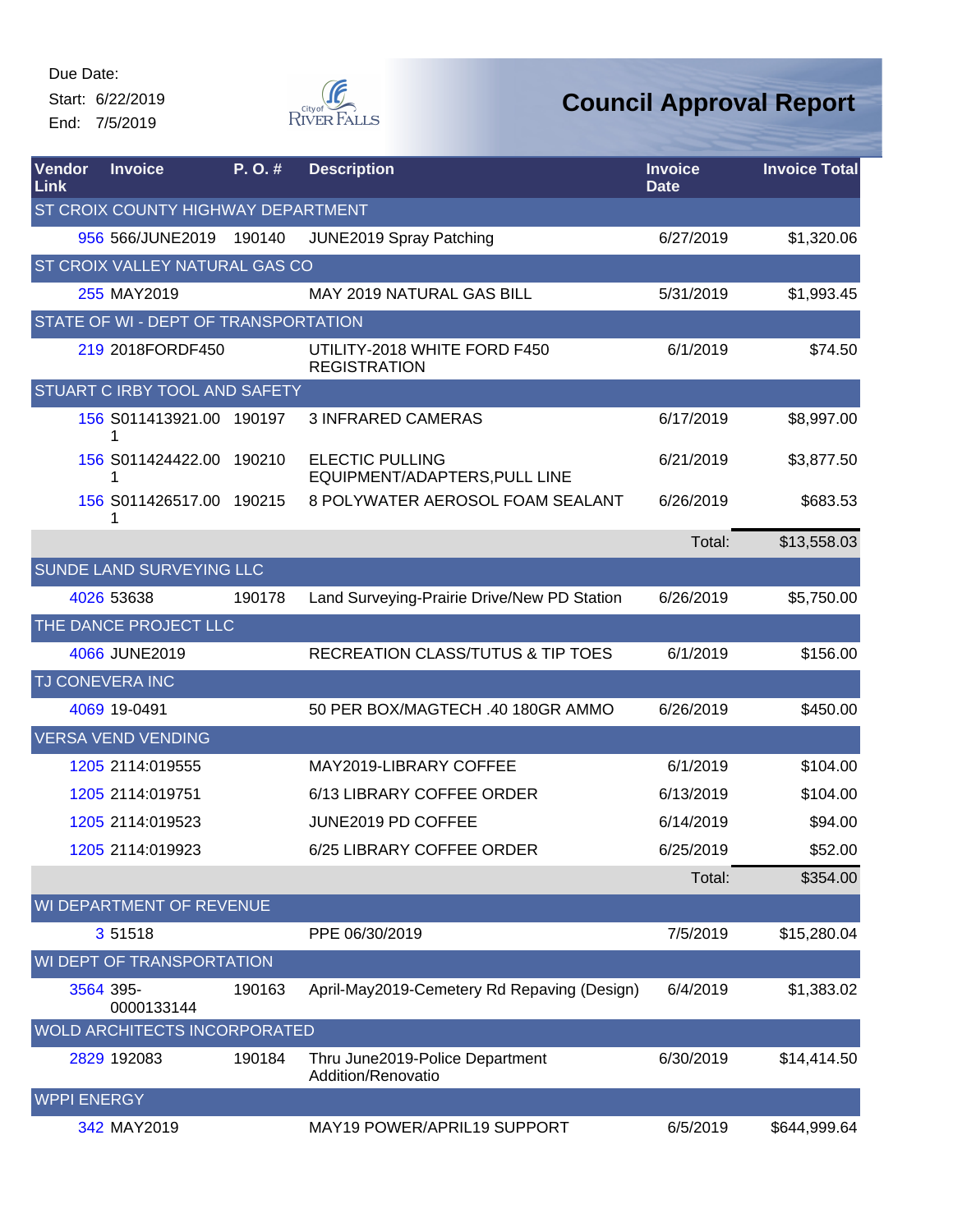Start: 6/22/2019 End: 7/5/2019



| Vendor<br>Link     | <b>Invoice</b>                        | P.O.#  | <b>Description</b>                                      | <b>Invoice</b><br><b>Date</b> | <b>Invoice Total</b> |
|--------------------|---------------------------------------|--------|---------------------------------------------------------|-------------------------------|----------------------|
|                    | ST CROIX COUNTY HIGHWAY DEPARTMENT    |        |                                                         |                               |                      |
|                    | 956 566/JUNE2019                      | 190140 | JUNE2019 Spray Patching                                 | 6/27/2019                     | \$1,320.06           |
|                    | <b>ST CROIX VALLEY NATURAL GAS CO</b> |        |                                                         |                               |                      |
|                    | 255 MAY2019                           |        | <b>MAY 2019 NATURAL GAS BILL</b>                        | 5/31/2019                     | \$1,993.45           |
|                    | STATE OF WI - DEPT OF TRANSPORTATION  |        |                                                         |                               |                      |
|                    | 219 2018FORDF450                      |        | UTILITY-2018 WHITE FORD F450<br><b>REGISTRATION</b>     | 6/1/2019                      | \$74.50              |
|                    | <b>STUART C IRBY TOOL AND SAFETY</b>  |        |                                                         |                               |                      |
|                    | 156 S011413921.00 190197              |        | <b>3 INFRARED CAMERAS</b>                               | 6/17/2019                     | \$8,997.00           |
|                    | 156 S011424422.00 190210              |        | <b>ELECTIC PULLING</b><br>EQUIPMENT/ADAPTERS, PULL LINE | 6/21/2019                     | \$3,877.50           |
|                    | 156 S011426517.00 190215              |        | 8 POLYWATER AEROSOL FOAM SEALANT                        | 6/26/2019                     | \$683.53             |
|                    |                                       |        |                                                         | Total:                        | \$13,558.03          |
|                    | <b>SUNDE LAND SURVEYING LLC</b>       |        |                                                         |                               |                      |
|                    | 4026 53638                            | 190178 | Land Surveying-Prairie Drive/New PD Station             | 6/26/2019                     | \$5,750.00           |
|                    | THE DANCE PROJECT LLC                 |        |                                                         |                               |                      |
|                    | 4066 JUNE2019                         |        | <b>RECREATION CLASS/TUTUS &amp; TIP TOES</b>            | 6/1/2019                      | \$156.00             |
| TJ CONEVERA INC    |                                       |        |                                                         |                               |                      |
|                    | 4069 19-0491                          |        | 50 PER BOX/MAGTECH .40 180GR AMMO                       | 6/26/2019                     | \$450.00             |
|                    | <b>VERSA VEND VENDING</b>             |        |                                                         |                               |                      |
|                    | 1205 2114:019555                      |        | MAY2019-LIBRARY COFFEE                                  | 6/1/2019                      | \$104.00             |
|                    | 1205 2114:019751                      |        | 6/13 LIBRARY COFFEE ORDER                               | 6/13/2019                     | \$104.00             |
|                    | 1205 2114:019523                      |        | JUNE2019 PD COFFEE                                      | 6/14/2019                     | \$94.00              |
|                    | 1205 2114:019923                      |        | 6/25 LIBRARY COFFEE ORDER                               | 6/25/2019                     | \$52.00              |
|                    |                                       |        |                                                         | Total:                        | \$354.00             |
|                    | WI DEPARTMENT OF REVENUE              |        |                                                         |                               |                      |
|                    | 3 51518                               |        | PPE 06/30/2019                                          | 7/5/2019                      | \$15,280.04          |
|                    | WI DEPT OF TRANSPORTATION             |        |                                                         |                               |                      |
| 3564 395-          | 0000133144                            | 190163 | April-May2019-Cemetery Rd Repaving (Design)             | 6/4/2019                      | \$1,383.02           |
|                    | <b>WOLD ARCHITECTS INCORPORATED</b>   |        |                                                         |                               |                      |
|                    | 2829 192083                           | 190184 | Thru June2019-Police Department<br>Addition/Renovatio   | 6/30/2019                     | \$14,414.50          |
| <b>WPPI ENERGY</b> |                                       |        |                                                         |                               |                      |
|                    | 342 MAY2019                           |        | MAY19 POWER/APRIL19 SUPPORT                             | 6/5/2019                      | \$644,999.64         |